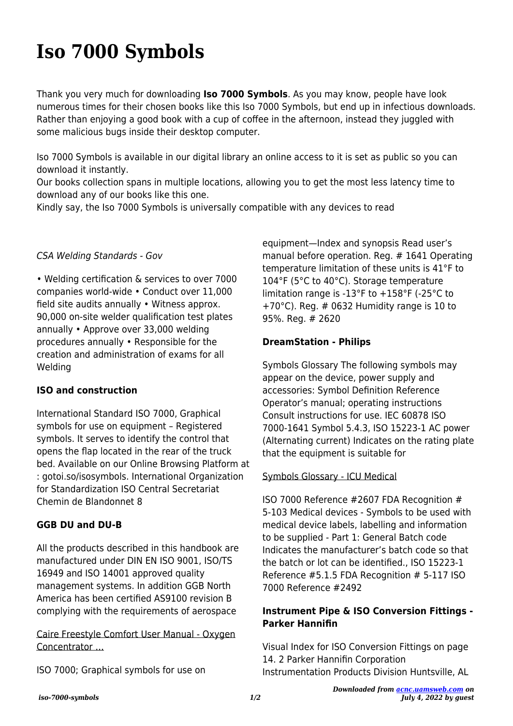# **Iso 7000 Symbols**

Thank you very much for downloading **Iso 7000 Symbols**. As you may know, people have look numerous times for their chosen books like this Iso 7000 Symbols, but end up in infectious downloads. Rather than enjoying a good book with a cup of coffee in the afternoon, instead they juggled with some malicious bugs inside their desktop computer.

Iso 7000 Symbols is available in our digital library an online access to it is set as public so you can download it instantly.

Our books collection spans in multiple locations, allowing you to get the most less latency time to download any of our books like this one.

Kindly say, the Iso 7000 Symbols is universally compatible with any devices to read

### CSA Welding Standards - Gov

• Welding certification & services to over 7000 companies world-wide • Conduct over 11,000 field site audits annually • Witness approx. 90,000 on-site welder qualification test plates annually • Approve over 33,000 welding procedures annually • Responsible for the creation and administration of exams for all Welding

### **ISO and construction**

International Standard ISO 7000, Graphical symbols for use on equipment – Registered symbols. It serves to identify the control that opens the flap located in the rear of the truck bed. Available on our Online Browsing Platform at : gotoi.so/isosymbols. International Organization for Standardization ISO Central Secretariat Chemin de Blandonnet 8

### **GGB DU and DU-B**

All the products described in this handbook are manufactured under DIN EN ISO 9001, ISO/TS 16949 and ISO 14001 approved quality management systems. In addition GGB North America has been certified AS9100 revision B complying with the requirements of aerospace

Caire Freestyle Comfort User Manual - Oxygen Concentrator …

ISO 7000; Graphical symbols for use on

equipment—Index and synopsis Read user's manual before operation. Reg. # 1641 Operating temperature limitation of these units is 41°F to 104°F (5°C to 40°C). Storage temperature limitation range is -13°F to +158°F (-25°C to +70°C). Reg. # 0632 Humidity range is 10 to 95%. Reg. # 2620

### **DreamStation - Philips**

Symbols Glossary The following symbols may appear on the device, power supply and accessories: Symbol Definition Reference Operator's manual; operating instructions Consult instructions for use. IEC 60878 ISO 7000-1641 Symbol 5.4.3, ISO 15223-1 AC power (Alternating current) Indicates on the rating plate that the equipment is suitable for

### Symbols Glossary - ICU Medical

ISO 7000 Reference #2607 FDA Recognition # 5-103 Medical devices - Symbols to be used with medical device labels, labelling and information to be supplied - Part 1: General Batch code Indicates the manufacturer's batch code so that the batch or lot can be identified., ISO 15223-1 Reference #5.1.5 FDA Recognition # 5-117 ISO 7000 Reference #2492

## **Instrument Pipe & ISO Conversion Fittings - Parker Hannifin**

Visual Index for ISO Conversion Fittings on page 14. 2 Parker Hannifin Corporation Instrumentation Products Division Huntsville, AL